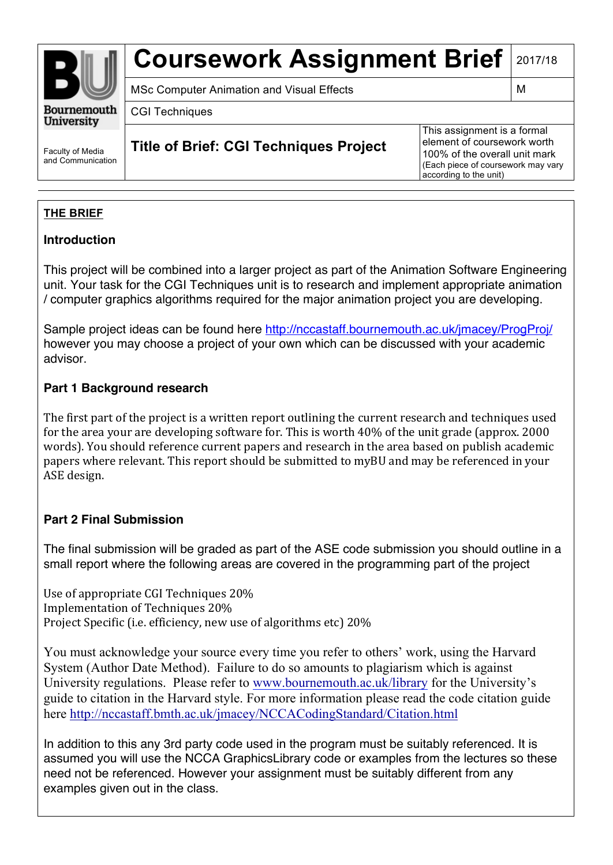

# **Coursework Assignment Brief 2017/18**

MSc Computer Animation and Visual Effects MSc Computer Animation and Visual Effects

CGI Techniques

**Title of Brief: CGI Techniques Project**

This assignment is a formal element of coursework worth 100% of the overall unit mark (Each piece of coursework may vary according to the unit)

## **THE BRIEF**

Faculty of Media and Communication

### **Introduction**

This project will be combined into a larger project as part of the Animation Software Engineering unit. Your task for the CGI Techniques unit is to research and implement appropriate animation / computer graphics algorithms required for the major animation project you are developing.

Sample project ideas can be found here http://nccastaff.bournemouth.ac.uk/jmacey/ProgProj/ however you may choose a project of your own which can be discussed with your academic advisor.

## **Part 1 Background research**

The first part of the project is a written report outlining the current research and techniques used for the area your are developing software for. This is worth  $40\%$  of the unit grade (approx. 2000) words). You should reference current papers and research in the area based on publish academic papers where relevant. This report should be submitted to myBU and may be referenced in your ASE design.

## **Part 2 Final Submission**

The final submission will be graded as part of the ASE code submission you should outline in a small report where the following areas are covered in the programming part of the project

Use of appropriate CGI Techniques 20% Implementation of Techniques 20% Project Specific (i.e. efficiency, new use of algorithms etc) 20%

You must acknowledge your source every time you refer to others' work, using the Harvard System (Author Date Method). Failure to do so amounts to plagiarism which is against University regulations. Please refer to www.bournemouth.ac.uk/library for the University's guide to citation in the Harvard style. For more information please read the code citation guide here http://nccastaff.bmth.ac.uk/jmacey/NCCACodingStandard/Citation.html

In addition to this any 3rd party code used in the program must be suitably referenced. It is assumed you will use the NCCA GraphicsLibrary code or examples from the lectures so these need not be referenced. However your assignment must be suitably different from any examples given out in the class.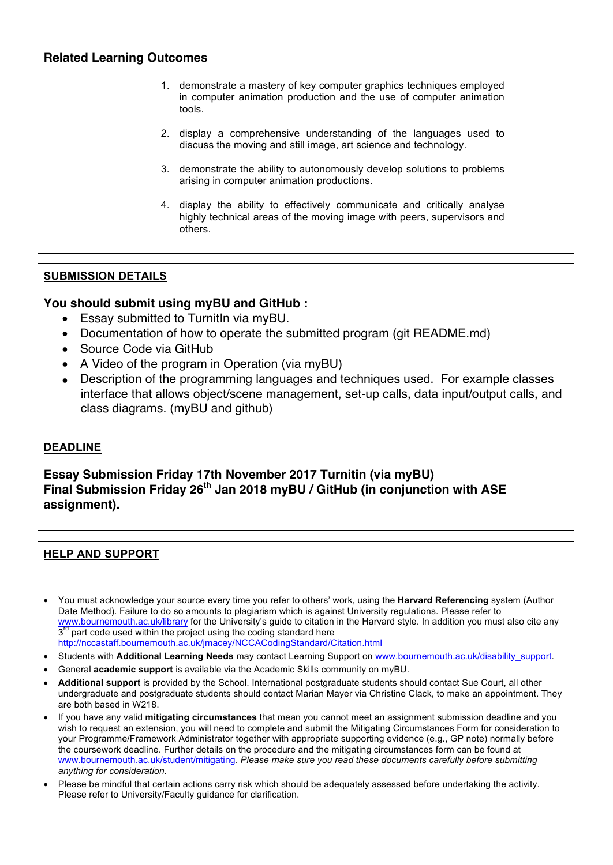#### **Related Learning Outcomes**

- 1. demonstrate a mastery of key computer graphics techniques employed in computer animation production and the use of computer animation tools.
- 2. display a comprehensive understanding of the languages used to discuss the moving and still image, art science and technology.
- 3. demonstrate the ability to autonomously develop solutions to problems arising in computer animation productions.
- 4. display the ability to effectively communicate and critically analyse highly technical areas of the moving image with peers, supervisors and others.

#### **SUBMISSION DETAILS**

#### **You should submit using myBU and GitHub :**

- Essay submitted to TurnitIn via myBU.
- Documentation of how to operate the submitted program (git README.md)
- Source Code via GitHub
- A Video of the program in Operation (via myBU)
- Description of the programming languages and techniques used. For example classes interface that allows object/scene management, set-up calls, data input/output calls, and class diagrams. (myBU and github)

#### **DEADLINE**

**Essay Submission Friday 17th November 2017 Turnitin (via myBU) Final Submission Friday 26th Jan 2018 myBU / GitHub (in conjunction with ASE assignment).**

#### **HELP AND SUPPORT**

• You must acknowledge your source every time you refer to others' work, using the **Harvard Referencing** system (Author Date Method). Failure to do so amounts to plagiarism which is against University regulations. Please refer to www.bournemouth.ac.uk/library for the University's guide to citation in the Harvard style. In addition you must also cite any  $3<sup>rd</sup>$  part code used within the project using the coding standard here http://nccastaff.bournemouth.ac.uk/jmacey/NCCACodingStandard/Citation.html

- Students with **Additional Learning Needs** may contact Learning Support on www.bournemouth.ac.uk/disability\_support.
- General **academic support** is available via the Academic Skills community on myBU.
- **Additional support** is provided by the School. International postgraduate students should contact Sue Court, all other undergraduate and postgraduate students should contact Marian Mayer via Christine Clack, to make an appointment. They are both based in W218.
- If you have any valid **mitigating circumstances** that mean you cannot meet an assignment submission deadline and you wish to request an extension, you will need to complete and submit the Mitigating Circumstances Form for consideration to your Programme/Framework Administrator together with appropriate supporting evidence (e.g., GP note) normally before the coursework deadline. Further details on the procedure and the mitigating circumstances form can be found at www.bournemouth.ac.uk/student/mitigating. *Please make sure you read these documents carefully before submitting anything for consideration.*
- Please be mindful that certain actions carry risk which should be adequately assessed before undertaking the activity. Please refer to University/Faculty guidance for clarification.